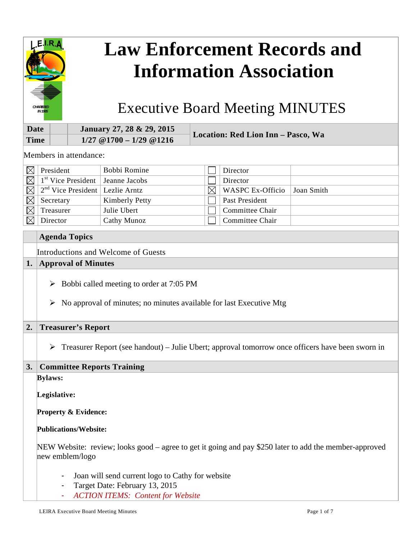

# **Law Enforcement Records and Information Association**

Executive Board Meeting MINUTES

| Date        | January 27, 28 & 29, 2015   | Location: Red Lion Inn - Pasco, Wa |
|-------------|-----------------------------|------------------------------------|
| <b>Time</b> | $1/27$ @ 1700 - 1/29 @ 1216 |                                    |

Members in attendance:

|             | President                                    | Bobbi Romine   |   | Director                 |            |
|-------------|----------------------------------------------|----------------|---|--------------------------|------------|
| $\boxtimes$ | $\frac{1}{3}$ Vice President   Jeanne Jacobs |                |   | Director                 |            |
| $\boxtimes$ | $2nd$ Vice President   Lezlie Arntz          |                | ⊠ | $\vert$ WASPC Ex-Officio | Joan Smith |
|             | Secretary                                    | Kimberly Petty |   | Past President           |            |
|             | Treasurer                                    | Julie Ubert    |   | Committee Chair          |            |
|             | Director                                     | Cathy Munoz    |   | Committee Chair          |            |

# **Agenda Topics**  Introductions and Welcome of Guests

# **1. Approval of Minutes**

- $\triangleright$  Bobbi called meeting to order at 7:05 PM
- $\triangleright$  No approval of minutes; no minutes available for last Executive Mtg

# **2. Treasurer's Report**

 $\triangleright$  Treasurer Report (see handout) – Julie Ubert; approval tomorrow once officers have been sworn in

# **3. Committee Reports Training**

**Bylaws:** 

**Legislative:** 

**Property & Evidence:** 

# **Publications/Website:**

NEW Website: review; looks good – agree to get it going and pay \$250 later to add the member-approved new emblem/logo

- Joan will send current logo to Cathy for website
- Target Date: February 13, 2015
- *ACTION ITEMS: Content for Website*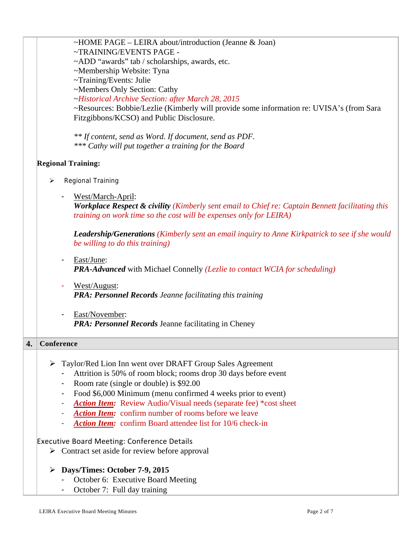| ~HOME PAGE – LEIRA about/introduction (Jeanne & Joan)                                                                                                                             |
|-----------------------------------------------------------------------------------------------------------------------------------------------------------------------------------|
| ~TRAINING/EVENTS PAGE -                                                                                                                                                           |
| ~ADD "awards" tab / scholarships, awards, etc.                                                                                                                                    |
| ~Membership Website: Tyna                                                                                                                                                         |
| ~Training/Events: Julie                                                                                                                                                           |
| ~Members Only Section: Cathy                                                                                                                                                      |
| ~Historical Archive Section: after March 28, 2015                                                                                                                                 |
| ~Resources: Bobbie/Lezlie (Kimberly will provide some information re: UVISA's (from Sara                                                                                          |
| Fitzgibbons/KCSO) and Public Disclosure.                                                                                                                                          |
| ** If content, send as Word. If document, send as PDF.<br>*** Cathy will put together a training for the Board                                                                    |
| <b>Regional Training:</b>                                                                                                                                                         |
| <b>Regional Training</b><br>⋗                                                                                                                                                     |
|                                                                                                                                                                                   |
| West/March-April:                                                                                                                                                                 |
| <b>Workplace Respect &amp; civility (Kimberly sent email to Chief re: Captain Bennett facilitating this</b><br>training on work time so the cost will be expenses only for LEIRA) |
| <b>Leadership/Generations</b> (Kimberly sent an email inquiry to Anne Kirkpatrick to see if she would<br>be willing to do this training)                                          |
| East/June:                                                                                                                                                                        |
| <b>PRA-Advanced</b> with Michael Connelly (Lezlie to contact WCIA for scheduling)                                                                                                 |
|                                                                                                                                                                                   |
| West/August:                                                                                                                                                                      |
| <b>PRA: Personnel Records Jeanne facilitating this training</b>                                                                                                                   |
| East/November:<br>$\overline{\phantom{a}}$                                                                                                                                        |
| <b>PRA: Personnel Records Jeanne facilitating in Cheney</b>                                                                                                                       |
|                                                                                                                                                                                   |
| Conference                                                                                                                                                                        |
| ➤                                                                                                                                                                                 |
| Taylor/Red Lion Inn went over DRAFT Group Sales Agreement                                                                                                                         |
| Attrition is 50% of room block; rooms drop 30 days before event                                                                                                                   |
| Room rate (single or double) is \$92.00                                                                                                                                           |
| Food \$6,000 Minimum (menu confirmed 4 weeks prior to event)<br>$\overline{\phantom{a}}$                                                                                          |
| <b>Action Item:</b> Review Audio/Visual needs (separate fee) *cost sheet                                                                                                          |
| Action Item: confirm number of rooms before we leave                                                                                                                              |
| <b>Action Item:</b> confirm Board attendee list for 10/6 check-in                                                                                                                 |
| <b>Executive Board Meeting: Conference Details</b>                                                                                                                                |
| $\triangleright$ Contract set aside for review before approval                                                                                                                    |
| Days/Times: October 7-9, 2015                                                                                                                                                     |
| October 6: Executive Board Meeting                                                                                                                                                |
| October 7: Full day training                                                                                                                                                      |

**4.**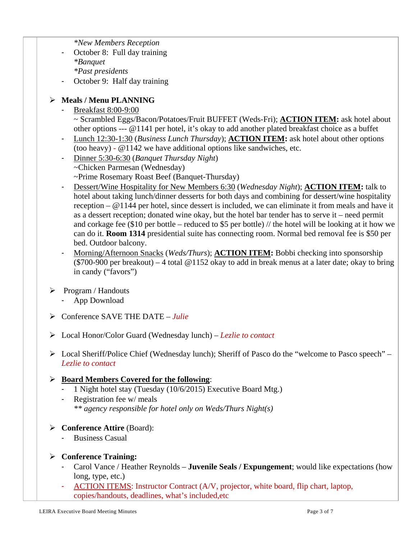*\*New Members Reception* 

- October 8: Full day training *\*Banquet \*Past presidents*
- October 9: Half day training

# **Meals / Menu PLANNING**

- Breakfast 8:00-9:00

~ Scrambled Eggs/Bacon/Potatoes/Fruit BUFFET (Weds-Fri); **ACTION ITEM:** ask hotel about other options --- @1141 per hotel, it's okay to add another plated breakfast choice as a buffet

- Lunch 12:30-1:30 (*Business Lunch Thursday*); **ACTION ITEM:** ask hotel about other options (too heavy) - @1142 we have additional options like sandwiches, etc.
- Dinner 5:30-6:30 (*Banquet Thursday Night*) ~Chicken Parmesan (Wednesday) ~Prime Rosemary Roast Beef (Banquet-Thursday)
- Dessert/Wine Hospitality for New Members 6:30 (*Wednesday Night*); **ACTION ITEM:** talk to hotel about taking lunch/dinner desserts for both days and combining for dessert/wine hospitality reception – @1144 per hotel, since dessert is included, we can eliminate it from meals and have it as a dessert reception; donated wine okay, but the hotel bar tender has to serve it – need permit and corkage fee (\$10 per bottle – reduced to \$5 per bottle) // the hotel will be looking at it how we can do it. **Room 1314** presidential suite has connecting room. Normal bed removal fee is \$50 per bed. Outdoor balcony.
- Morning/Afternoon Snacks (*Weds/Thurs*); **ACTION ITEM:** Bobbi checking into sponsorship (\$700-900 per breakout) – 4 total @1152 okay to add in break menus at a later date; okay to bring in candy ("favors")
- $\triangleright$  Program / Handouts
	- App Download
- Conference SAVE THE DATE *Julie*
- Local Honor/Color Guard (Wednesday lunch) *Lezlie to contact*
- Local Sheriff/Police Chief (Wednesday lunch); Sheriff of Pasco do the "welcome to Pasco speech" *Lezlie to contact*

# **Board Members Covered for the following**:

- 1 Night hotel stay (Tuesday (10/6/2015) Executive Board Mtg.)
- Registration fee w/ meals *\*\* agency responsible for hotel only on Weds/Thurs Night(s)*

# **Conference Attire** (Board):

- Business Casual

# **Conference Training:**

- Carol Vance / Heather Reynolds **Juvenile Seals / Expungement**; would like expectations (how long, type, etc.)
- ACTION ITEMS: Instructor Contract (A/V, projector, white board, flip chart, laptop, copies/handouts, deadlines, what's included,etc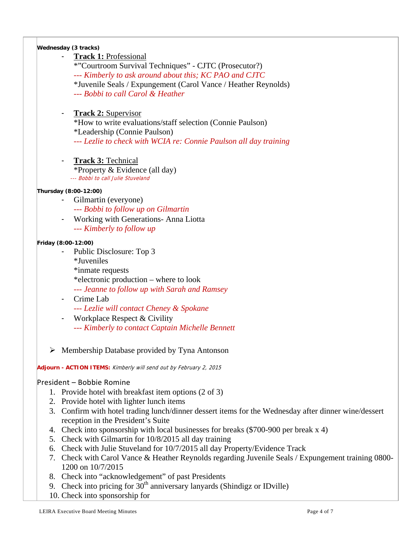#### **Wednesday (3 tracks)**

**Track 1: Professional** 

\*"Courtroom Survival Techniques" - CJTC (Prosecutor?) *--- Kimberly to ask around about this; KC PAO and CJTC*  \*Juvenile Seals / Expungement (Carol Vance / Heather Reynolds) *--- Bobbi to call Carol & Heather* 

# - **Track 2:** Supervisor

\*How to write evaluations/staff selection (Connie Paulson) \*Leadership (Connie Paulson) *--- Lezlie to check with WCIA re: Connie Paulson all day training* 

- **Track 3:** Technical \*Property & Evidence (all day)--- Bobbi to call Julie Stuveland

#### **Thursday (8:00-12:00)**

- Gilmartin (everyone) *--- Bobbi to follow up on Gilmartin*
- Working with Generations- Anna Liotta *--- Kimberly to follow up*

#### **Friday (8:00-12:00)**

- Public Disclosure: Top 3 \*Juveniles \*inmate requests \*electronic production – where to look *--- Jeanne to follow up with Sarah and Ramsey* 

- Crime Lab

*--- Lezlie will contact Cheney & Spokane* 

- Workplace Respect & Civility *--- Kimberly to contact Captain Michelle Bennett* 

 $\triangleright$  Membership Database provided by Tyna Antonson

**Adjourn - ACTION ITEMS:** Kimberly will send out by February 2, 2015

#### President – Bobbie Romine

- 1. Provide hotel with breakfast item options (2 of 3)
- 2. Provide hotel with lighter lunch items
- 3. Confirm with hotel trading lunch/dinner dessert items for the Wednesday after dinner wine/dessert reception in the President's Suite
- 4. Check into sponsorship with local businesses for breaks (\$700-900 per break x 4)
- 5. Check with Gilmartin for 10/8/2015 all day training
- 6. Check with Julie Stuveland for 10/7/2015 all day Property/Evidence Track
- 7. Check with Carol Vance & Heather Reynolds regarding Juvenile Seals / Expungement training 0800- 1200 on 10/7/2015
- 8. Check into "acknowledgement" of past Presidents
- 9. Check into pricing for  $30<sup>th</sup>$  anniversary lanyards (Shindigz or IDville)
- 10. Check into sponsorship for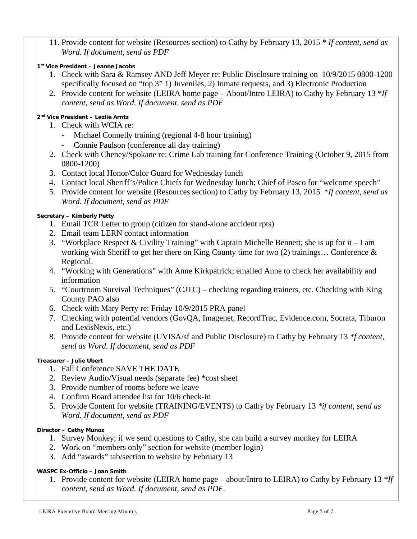- 11. Provide content for website (Resources section) to Cathy by February 13, 2015 *\* If content, send as Word. If document, send as PDF*
- **1st Vice President Jeanne Jacobs**
	- 1. Check with Sara & Ramsey AND Jeff Meyer re: Public Disclosure training on 10/9/2015 0800-1200 specifically focused on "top 3" 1) Juveniles, 2) Inmate requests, and 3) Electronic Production
	- 2. Provide content for website (LEIRA home page About/Intro LEIRA) to Cathy by February 13 \**If content, send as Word. If document, send as PDF*

#### **2nd Vice President – Lezlie Arntz**

- 1. Check with WCIA re:
	- Michael Connelly training (regional 4-8 hour training)
	- Connie Paulson (conference all day training)
- 2. Check with Cheney/Spokane re: Crime Lab training for Conference Training (October 9, 2015 from 0800-1200)
- 3. Contact local Honor/Color Guard for Wednesday lunch
- 4. Contact local Sheriff's/Police Chiefs for Wednesday lunch; Chief of Pasco for "welcome speech"
- 5. Provide content for website (Resources section) to Cathy by February 13, 2015 \**If content, send as Word. If document, send as PDF*

#### **Secretary – Kimberly Petty**

- 1. Email TCR Letter to group (citizen for stand-alone accident rpts)
- 2. Email team LERN contact information
- 3. "Workplace Respect & Civility Training" with Captain Michelle Bennett; she is up for it I am working with Sheriff to get her there on King County time for two  $(2)$  trainings... Conference & Regional.
- 4. "Working with Generations" with Anne Kirkpatrick; emailed Anne to check her availability and information
- 5. "Courtroom Survival Techniques" (CJTC) checking regarding trainers, etc. Checking with King County PAO also
- 6. Check with Mary Perry re: Friday 10/9/2015 PRA panel
- 7. Checking with potential vendors (GovQA, Imagenet, RecordTrac, Evidence.com, Socrata, Tiburon and LexisNexis, etc.)
- 8. Provide content for website (UVISA/sf and Public Disclosure) to Cathy by February 13 *\*f content, send as Word. If document, send as PDF*

# **Treasurer – Julie Ubert**

- 1. Fall Conference SAVE THE DATE
- 2. Review Audio/Visual needs (separate fee) \*cost sheet
- 3. Provide number of rooms before we leave
- 4. Confirm Board attendee list for 10/6 check-in
- 5. Provide Content for website (TRAINING/EVENTS) to Cathy by February 13 *\*if content, send as Word. If document, send as PDF*

#### **Director – Cathy Munoz**

- 1. Survey Monkey; if we send questions to Cathy, she can build a survey monkey for LEIRA
- 2. Work on "members only" section for website (member login)
- 3. Add "awards" tab/section to website by February 13

# **WASPC Ex-Officio – Joan Smith**

1. Provide content for website (LEIRA home page – about/Intro to LEIRA) to Cathy by February 13 *\*If content, send as Word. If document, send as PDF.*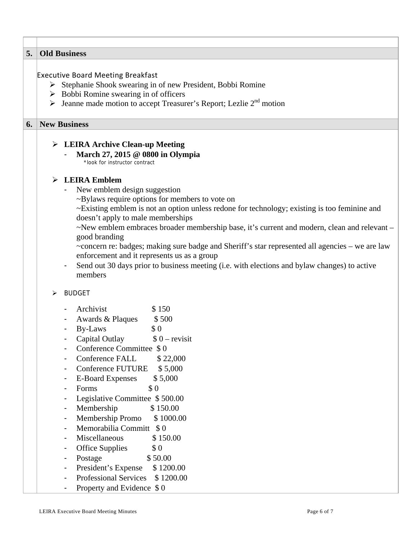| 5. | <b>Old Business</b>                             |                                                                                                                                         |  |  |  |  |  |  |  |
|----|-------------------------------------------------|-----------------------------------------------------------------------------------------------------------------------------------------|--|--|--|--|--|--|--|
|    |                                                 |                                                                                                                                         |  |  |  |  |  |  |  |
|    | <b>Executive Board Meeting Breakfast</b>        |                                                                                                                                         |  |  |  |  |  |  |  |
|    |                                                 | Stephanie Shook swearing in of new President, Bobbi Romine                                                                              |  |  |  |  |  |  |  |
|    |                                                 | $\triangleright$ Bobbi Romine swearing in of officers<br>Jeanne made motion to accept Treasurer's Report; Lezlie 2 <sup>nd</sup> motion |  |  |  |  |  |  |  |
|    |                                                 |                                                                                                                                         |  |  |  |  |  |  |  |
| 6. | <b>New Business</b>                             |                                                                                                                                         |  |  |  |  |  |  |  |
|    | $\triangleright$ LEIRA Archive Clean-up Meeting |                                                                                                                                         |  |  |  |  |  |  |  |
|    |                                                 | March 27, 2015 @ 0800 in Olympia                                                                                                        |  |  |  |  |  |  |  |
|    |                                                 | *look for instructor contract                                                                                                           |  |  |  |  |  |  |  |
|    | ➤                                               | <b>LEIRA Emblem</b>                                                                                                                     |  |  |  |  |  |  |  |
|    |                                                 | New emblem design suggestion                                                                                                            |  |  |  |  |  |  |  |
|    |                                                 | ~Bylaws require options for members to vote on                                                                                          |  |  |  |  |  |  |  |
|    |                                                 | ~Existing emblem is not an option unless redone for technology; existing is too feminine and                                            |  |  |  |  |  |  |  |
|    |                                                 | doesn't apply to male memberships                                                                                                       |  |  |  |  |  |  |  |
|    |                                                 | ~New emblem embraces broader membership base, it's current and modern, clean and relevant –<br>good branding                            |  |  |  |  |  |  |  |
|    |                                                 | ~concern re: badges; making sure badge and Sheriff's star represented all agencies – we are law                                         |  |  |  |  |  |  |  |
|    |                                                 | enforcement and it represents us as a group                                                                                             |  |  |  |  |  |  |  |
|    |                                                 | Send out 30 days prior to business meeting (i.e. with elections and bylaw changes) to active                                            |  |  |  |  |  |  |  |
|    |                                                 | members                                                                                                                                 |  |  |  |  |  |  |  |
|    | <b>BUDGET</b><br>➤                              |                                                                                                                                         |  |  |  |  |  |  |  |
|    |                                                 | Archivist<br>\$150                                                                                                                      |  |  |  |  |  |  |  |
|    |                                                 | $\overline{\phantom{0}}$<br>Awards & Plaques<br>\$500                                                                                   |  |  |  |  |  |  |  |
|    |                                                 | By-Laws<br>\$0                                                                                                                          |  |  |  |  |  |  |  |
|    |                                                 | Capital Outlay<br>$$0 - revisit$                                                                                                        |  |  |  |  |  |  |  |
|    |                                                 | Conference Committee \$0                                                                                                                |  |  |  |  |  |  |  |
|    | Conference FALL<br>\$22,000                     |                                                                                                                                         |  |  |  |  |  |  |  |
|    | <b>Conference FUTURE</b><br>\$5,000             |                                                                                                                                         |  |  |  |  |  |  |  |
|    |                                                 | <b>E-Board Expenses</b><br>\$5,000                                                                                                      |  |  |  |  |  |  |  |
|    |                                                 | \$0<br>Forms                                                                                                                            |  |  |  |  |  |  |  |
|    |                                                 | Legislative Committee \$500.00                                                                                                          |  |  |  |  |  |  |  |
|    |                                                 | Membership<br>\$150.00                                                                                                                  |  |  |  |  |  |  |  |
|    |                                                 | Membership Promo<br>\$1000.00                                                                                                           |  |  |  |  |  |  |  |
|    |                                                 | Memorabilia Committ \$0                                                                                                                 |  |  |  |  |  |  |  |
|    |                                                 | Miscellaneous<br>\$150.00<br>\$0                                                                                                        |  |  |  |  |  |  |  |
|    |                                                 | <b>Office Supplies</b><br>\$50.00<br>Postage                                                                                            |  |  |  |  |  |  |  |
|    |                                                 | President's Expense<br>\$1200.00                                                                                                        |  |  |  |  |  |  |  |
|    |                                                 | <b>Professional Services</b><br>\$1200.00                                                                                               |  |  |  |  |  |  |  |
|    |                                                 | Property and Evidence \$0                                                                                                               |  |  |  |  |  |  |  |